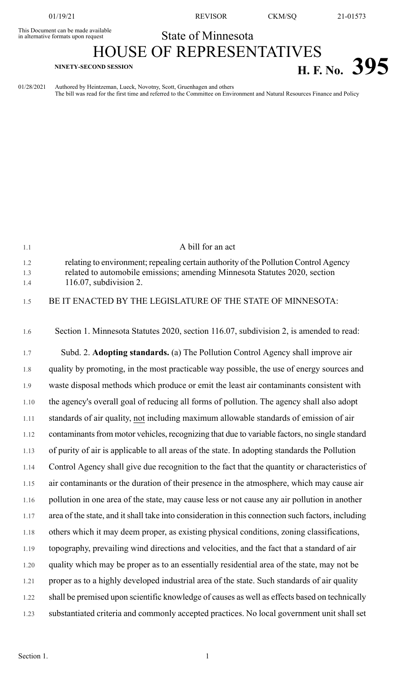This Document can be made available<br>in alternative formats upon request

01/19/21 REVISOR CKM/SQ 21-01573

## State of Minnesota

## HOUSE OF REPRESENTATIVES **H. F. No. 395**

01/28/2021 Authored by Heintzeman, Lueck, Novotny, Scott, Gruenhagen and others The bill was read for the first time and referred to the Committee on Environment and Natural Resources Finance and Policy

| 1.1               | A bill for an act                                                                                                                                                                               |
|-------------------|-------------------------------------------------------------------------------------------------------------------------------------------------------------------------------------------------|
| 1.2<br>1.3<br>1.4 | relating to environment; repealing certain authority of the Pollution Control Agency<br>related to automobile emissions; amending Minnesota Statutes 2020, section<br>$116.07$ , subdivision 2. |
| 1.5               | BE IT ENACTED BY THE LEGISLATURE OF THE STATE OF MINNESOTA:                                                                                                                                     |
| 1.6               | Section 1. Minnesota Statutes 2020, section 116.07, subdivision 2, is amended to read:                                                                                                          |
| 1.7               | Subd. 2. Adopting standards. (a) The Pollution Control Agency shall improve air                                                                                                                 |
| 1.8               | quality by promoting, in the most practicable way possible, the use of energy sources and                                                                                                       |
| 1.9               | waste disposal methods which produce or emit the least air contaminants consistent with                                                                                                         |
| 1.10              | the agency's overall goal of reducing all forms of pollution. The agency shall also adopt                                                                                                       |
| 1.11              | standards of air quality, not including maximum allowable standards of emission of air                                                                                                          |
| 1.12              | contaminants from motor vehicles, recognizing that due to variable factors, no single standard                                                                                                  |
| 1.13              | of purity of air is applicable to all areas of the state. In adopting standards the Pollution                                                                                                   |
| 1.14              | Control Agency shall give due recognition to the fact that the quantity or characteristics of                                                                                                   |
| 1.15              | air contaminants or the duration of their presence in the atmosphere, which may cause air                                                                                                       |
| 1.16              | pollution in one area of the state, may cause less or not cause any air pollution in another                                                                                                    |
| 1.17              | area of the state, and it shall take into consideration in this connection such factors, including                                                                                              |
| 1.18              | others which it may deem proper, as existing physical conditions, zoning classifications,                                                                                                       |
| 1.19              | topography, prevailing wind directions and velocities, and the fact that a standard of air                                                                                                      |
| 1.20              | quality which may be proper as to an essentially residential area of the state, may not be                                                                                                      |
| 1.21              | proper as to a highly developed industrial area of the state. Such standards of air quality                                                                                                     |
| 1.22              | shall be premised upon scientific knowledge of causes as well as effects based on technically                                                                                                   |
| 1.23              | substantiated criteria and commonly accepted practices. No local government unit shall set                                                                                                      |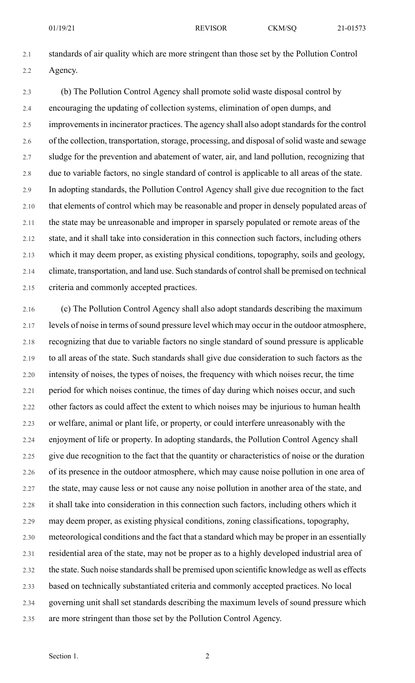2.1 standards of air quality which are more stringent than those set by the Pollution Control 2.2 Agency.

2.3 (b) The Pollution Control Agency shall promote solid waste disposal control by 2.4 encouraging the updating of collection systems, elimination of open dumps, and 2.5 improvements in incinerator practices. The agency shall also adopt standards for the control 2.6 of the collection, transportation, storage, processing, and disposal of solid waste and sewage 2.7 sludge for the prevention and abatement of water, air, and land pollution, recognizing that 2.8 due to variable factors, no single standard of control is applicable to all areas of the state. 2.9 In adopting standards, the Pollution Control Agency shall give due recognition to the fact 2.10 that elements of control which may be reasonable and proper in densely populated areas of 2.11 the state may be unreasonable and improper in sparsely populated or remote areas of the 2.12 state, and it shall take into consideration in this connection such factors, including others 2.13 which it may deem proper, as existing physical conditions, topography, soils and geology, 2.14 climate, transportation, and land use. Such standards of controlshall be premised on technical 2.15 criteria and commonly accepted practices.

2.16 (c) The Pollution Control Agency shall also adopt standards describing the maximum 2.17 levels of noise in terms of sound pressure level which may occur in the outdoor atmosphere, 2.18 recognizing that due to variable factors no single standard of sound pressure is applicable 2.19 to all areas of the state. Such standards shall give due consideration to such factors as the 2.20 intensity of noises, the types of noises, the frequency with which noises recur, the time 2.21 period for which noises continue, the times of day during which noises occur, and such 2.22 other factors as could affect the extent to which noises may be injurious to human health 2.23 or welfare, animal or plant life, or property, or could interfere unreasonably with the 2.24 enjoyment of life or property. In adopting standards, the Pollution Control Agency shall 2.25 give due recognition to the fact that the quantity or characteristics of noise or the duration 2.26 of its presence in the outdoor atmosphere, which may cause noise pollution in one area of 2.27 the state, may cause less or not cause any noise pollution in another area of the state, and 2.28 it shall take into consideration in this connection such factors, including others which it 2.29 may deem proper, as existing physical conditions, zoning classifications, topography, 2.30 meteorological conditions and the fact that a standard which may be proper in an essentially 2.31 residential area of the state, may not be proper as to a highly developed industrial area of 2.32 the state. Such noise standards shall be premised upon scientific knowledge as well as effects 2.33 based on technically substantiated criteria and commonly accepted practices. No local 2.34 governing unit shall set standards describing the maximum levels of sound pressure which 2.35 are more stringent than those set by the Pollution Control Agency.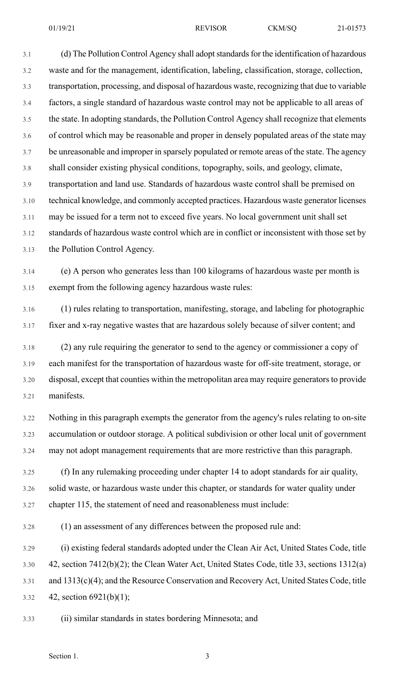3.1 (d) The Pollution Control Agency shall adopt standards for the identification of hazardous 3.2 waste and for the management, identification, labeling, classification, storage, collection, 3.3 transportation, processing, and disposal of hazardous waste, recognizing that due to variable 3.4 factors, a single standard of hazardous waste control may not be applicable to all areas of 3.5 the state. In adopting standards, the Pollution Control Agency shall recognize that elements 3.6 of control which may be reasonable and proper in densely populated areas of the state may 3.7 be unreasonable and improper in sparsely populated or remote areas of the state. The agency 3.8 shall consider existing physical conditions, topography, soils, and geology, climate, 3.9 transportation and land use. Standards of hazardous waste control shall be premised on 3.10 technical knowledge, and commonly accepted practices. Hazardous waste generator licenses 3.11 may be issued for a term not to exceed five years. No local government unit shall set 3.12 standards of hazardous waste control which are in conflict or inconsistent with those set by 3.13 the Pollution Control Agency.

3.14 (e) A person who generates less than 100 kilograms of hazardous waste per month is 3.15 exempt from the following agency hazardous waste rules:

3.16 (1) rules relating to transportation, manifesting, storage, and labeling for photographic 3.17 fixer and x-ray negative wastes that are hazardous solely because of silver content; and

3.18 (2) any rule requiring the generator to send to the agency or commissioner a copy of 3.19 each manifest for the transportation of hazardous waste for off-site treatment, storage, or 3.20 disposal, except that counties within the metropolitan area may require generatorsto provide 3.21 manifests.

3.22 Nothing in this paragraph exempts the generator from the agency's rules relating to on-site 3.23 accumulation or outdoor storage. A political subdivision or other local unit of government 3.24 may not adopt management requirements that are more restrictive than this paragraph.

3.25 (f) In any rulemaking proceeding under chapter 14 to adopt standards for air quality, 3.26 solid waste, or hazardous waste under this chapter, or standards for water quality under 3.27 chapter 115, the statement of need and reasonableness must include:

3.28 (1) an assessment of any differences between the proposed rule and:

3.29 (i) existing federal standards adopted under the Clean Air Act, United States Code, title 3.30 42, section 7412(b)(2); the Clean Water Act, United States Code, title 33, sections 1312(a) 3.31 and 1313(c)(4); and the Resource Conservation and Recovery Act, United States Code, title 3.32 42, section 6921(b)(1);

3.33 (ii) similar standards in states bordering Minnesota; and